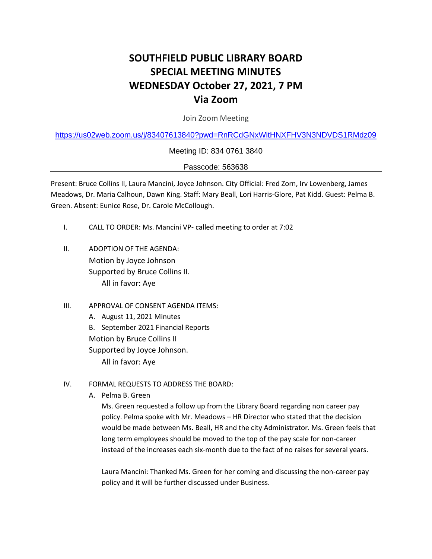# **SOUTHFIELD PUBLIC LIBRARY BOARD SPECIAL MEETING MINUTES WEDNESDAY October 27, 2021, 7 PM Via Zoom**

Join Zoom Meeting

<https://us02web.zoom.us/j/83407613840?pwd=RnRCdGNxWitHNXFHV3N3NDVDS1RMdz09>

Meeting ID: 834 0761 3840

Passcode: 563638

Present: Bruce Collins II, Laura Mancini, Joyce Johnson. City Official: Fred Zorn, Irv Lowenberg, James Meadows, Dr. Maria Calhoun, Dawn King. Staff: Mary Beall, Lori Harris-Glore, Pat Kidd. Guest: Pelma B. Green. Absent: Eunice Rose, Dr. Carole McCollough.

- I. CALL TO ORDER: Ms. Mancini VP- called meeting to order at 7:02
- II. ADOPTION OF THE AGENDA: Motion by Joyce Johnson Supported by Bruce Collins II. All in favor: Aye
- III. APPROVAL OF CONSENT AGENDA ITEMS:
	- A. August 11, 2021 Minutes
	- B. September 2021 Financial Reports

Motion by Bruce Collins II

Supported by Joyce Johnson.

All in favor: Aye

- IV. FORMAL REQUESTS TO ADDRESS THE BOARD:
	- A. Pelma B. Green

Ms. Green requested a follow up from the Library Board regarding non career pay policy. Pelma spoke with Mr. Meadows – HR Director who stated that the decision would be made between Ms. Beall, HR and the city Administrator. Ms. Green feels that long term employees should be moved to the top of the pay scale for non-career instead of the increases each six-month due to the fact of no raises for several years.

Laura Mancini: Thanked Ms. Green for her coming and discussing the non-career pay policy and it will be further discussed under Business.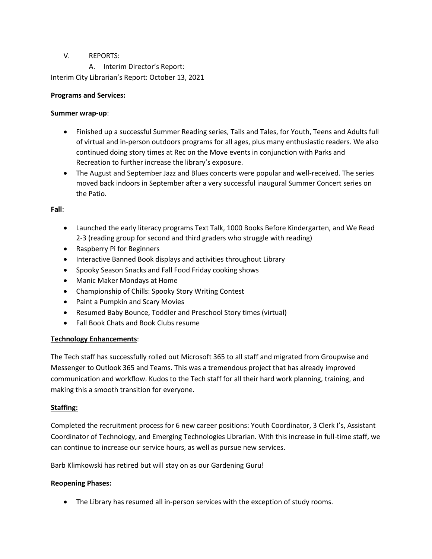# V. REPORTS:

A. Interim Director's Report:

Interim City Librarian's Report: October 13, 2021

### **Programs and Services:**

### **Summer wrap-up**:

- Finished up a successful Summer Reading series, Tails and Tales, for Youth, Teens and Adults full of virtual and in-person outdoors programs for all ages, plus many enthusiastic readers. We also continued doing story times at Rec on the Move events in conjunction with Parks and Recreation to further increase the library's exposure.
- The August and September Jazz and Blues concerts were popular and well-received. The series moved back indoors in September after a very successful inaugural Summer Concert series on the Patio.

**Fall**:

- Launched the early literacy programs Text Talk, 1000 Books Before Kindergarten, and We Read 2-3 (reading group for second and third graders who struggle with reading)
- Raspberry Pi for Beginners
- Interactive Banned Book displays and activities throughout Library
- Spooky Season Snacks and Fall Food Friday cooking shows
- Manic Maker Mondays at Home
- Championship of Chills: Spooky Story Writing Contest
- Paint a Pumpkin and Scary Movies
- Resumed Baby Bounce, Toddler and Preschool Story times (virtual)
- Fall Book Chats and Book Clubs resume

# **Technology Enhancements**:

The Tech staff has successfully rolled out Microsoft 365 to all staff and migrated from Groupwise and Messenger to Outlook 365 and Teams. This was a tremendous project that has already improved communication and workflow. Kudos to the Tech staff for all their hard work planning, training, and making this a smooth transition for everyone.

# **Staffing:**

Completed the recruitment process for 6 new career positions: Youth Coordinator, 3 Clerk I's, Assistant Coordinator of Technology, and Emerging Technologies Librarian. With this increase in full-time staff, we can continue to increase our service hours, as well as pursue new services.

Barb Klimkowski has retired but will stay on as our Gardening Guru!

### **Reopening Phases:**

• The Library has resumed all in-person services with the exception of study rooms.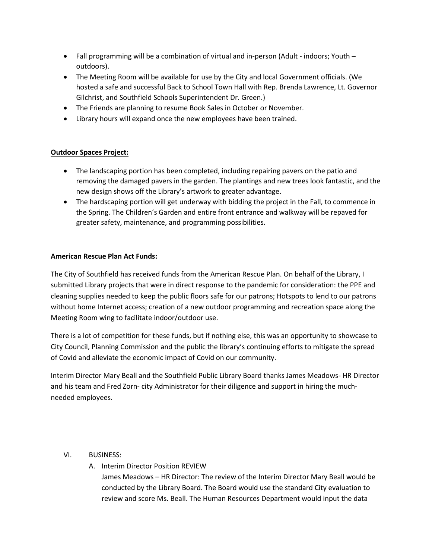- Fall programming will be a combination of virtual and in-person (Adult indoors; Youth outdoors).
- The Meeting Room will be available for use by the City and local Government officials. (We hosted a safe and successful Back to School Town Hall with Rep. Brenda Lawrence, Lt. Governor Gilchrist, and Southfield Schools Superintendent Dr. Green.)
- The Friends are planning to resume Book Sales in October or November.
- Library hours will expand once the new employees have been trained.

## **Outdoor Spaces Project:**

- The landscaping portion has been completed, including repairing pavers on the patio and removing the damaged pavers in the garden. The plantings and new trees look fantastic, and the new design shows off the Library's artwork to greater advantage.
- The hardscaping portion will get underway with bidding the project in the Fall, to commence in the Spring. The Children's Garden and entire front entrance and walkway will be repaved for greater safety, maintenance, and programming possibilities.

## **American Rescue Plan Act Funds:**

The City of Southfield has received funds from the American Rescue Plan. On behalf of the Library, I submitted Library projects that were in direct response to the pandemic for consideration: the PPE and cleaning supplies needed to keep the public floors safe for our patrons; Hotspots to lend to our patrons without home Internet access; creation of a new outdoor programming and recreation space along the Meeting Room wing to facilitate indoor/outdoor use.

There is a lot of competition for these funds, but if nothing else, this was an opportunity to showcase to City Council, Planning Commission and the public the library's continuing efforts to mitigate the spread of Covid and alleviate the economic impact of Covid on our community.

Interim Director Mary Beall and the Southfield Public Library Board thanks James Meadows- HR Director and his team and Fred Zorn- city Administrator for their diligence and support in hiring the muchneeded employees.

# VI. BUSINESS:

A. Interim Director Position REVIEW James Meadows – HR Director: The review of the Interim Director Mary Beall would be conducted by the Library Board. The Board would use the standard City evaluation to review and score Ms. Beall. The Human Resources Department would input the data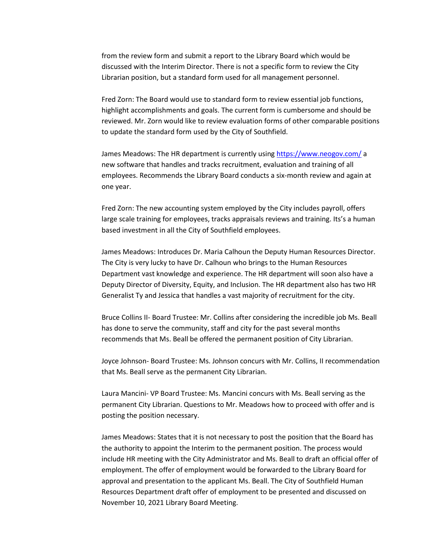from the review form and submit a report to the Library Board which would be discussed with the Interim Director. There is not a specific form to review the City Librarian position, but a standard form used for all management personnel.

Fred Zorn: The Board would use to standard form to review essential job functions, highlight accomplishments and goals. The current form is cumbersome and should be reviewed. Mr. Zorn would like to review evaluation forms of other comparable positions to update the standard form used by the City of Southfield.

James Meadows: The HR department is currently using<https://www.neogov.com/> a new software that handles and tracks recruitment, evaluation and training of all employees. Recommends the Library Board conducts a six-month review and again at one year.

Fred Zorn: The new accounting system employed by the City includes payroll, offers large scale training for employees, tracks appraisals reviews and training. Its's a human based investment in all the City of Southfield employees.

James Meadows: Introduces Dr. Maria Calhoun the Deputy Human Resources Director. The City is very lucky to have Dr. Calhoun who brings to the Human Resources Department vast knowledge and experience. The HR department will soon also have a Deputy Director of Diversity, Equity, and Inclusion. The HR department also has two HR Generalist Ty and Jessica that handles a vast majority of recruitment for the city.

Bruce Collins II- Board Trustee: Mr. Collins after considering the incredible job Ms. Beall has done to serve the community, staff and city for the past several months recommends that Ms. Beall be offered the permanent position of City Librarian.

Joyce Johnson- Board Trustee: Ms. Johnson concurs with Mr. Collins, II recommendation that Ms. Beall serve as the permanent City Librarian.

Laura Mancini- VP Board Trustee: Ms. Mancini concurs with Ms. Beall serving as the permanent City Librarian. Questions to Mr. Meadows how to proceed with offer and is posting the position necessary.

James Meadows: States that it is not necessary to post the position that the Board has the authority to appoint the Interim to the permanent position. The process would include HR meeting with the City Administrator and Ms. Beall to draft an official offer of employment. The offer of employment would be forwarded to the Library Board for approval and presentation to the applicant Ms. Beall. The City of Southfield Human Resources Department draft offer of employment to be presented and discussed on November 10, 2021 Library Board Meeting.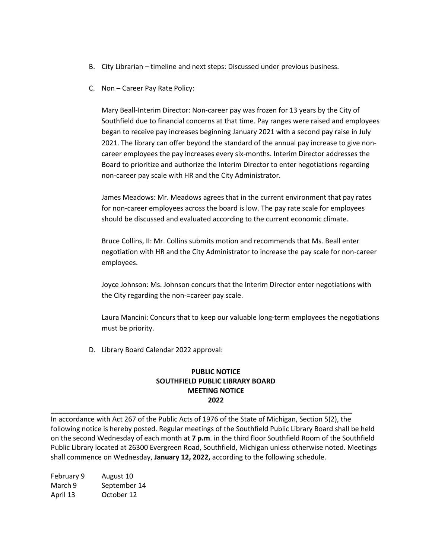- B. City Librarian timeline and next steps: Discussed under previous business.
- C. Non Career Pay Rate Policy:

Mary Beall-Interim Director: Non-career pay was frozen for 13 years by the City of Southfield due to financial concerns at that time. Pay ranges were raised and employees began to receive pay increases beginning January 2021 with a second pay raise in July 2021. The library can offer beyond the standard of the annual pay increase to give noncareer employees the pay increases every six-months. Interim Director addresses the Board to prioritize and authorize the Interim Director to enter negotiations regarding non-career pay scale with HR and the City Administrator.

James Meadows: Mr. Meadows agrees that in the current environment that pay rates for non-career employees across the board is low. The pay rate scale for employees should be discussed and evaluated according to the current economic climate.

Bruce Collins, II: Mr. Collins submits motion and recommends that Ms. Beall enter negotiation with HR and the City Administrator to increase the pay scale for non-career employees.

Joyce Johnson: Ms. Johnson concurs that the Interim Director enter negotiations with the City regarding the non-=career pay scale.

Laura Mancini: Concurs that to keep our valuable long-term employees the negotiations must be priority.

D. Library Board Calendar 2022 approval:

# **PUBLIC NOTICE SOUTHFIELD PUBLIC LIBRARY BOARD MEETING NOTICE 2022**

In accordance with Act 267 of the Public Acts of 1976 of the State of Michigan, Section 5(2), the following notice is hereby posted. Regular meetings of the Southfield Public Library Board shall be held on the second Wednesday of each month at **7 p.m**. in the third floor Southfield Room of the Southfield Public Library located at 26300 Evergreen Road, Southfield, Michigan unless otherwise noted. Meetings shall commence on Wednesday, **January 12, 2022,** according to the following schedule.

**\_\_\_\_\_\_\_\_\_\_\_\_\_\_\_\_\_\_\_\_\_\_\_\_\_\_\_\_\_\_\_\_\_\_\_\_\_\_\_\_\_\_\_\_\_\_\_\_\_\_\_\_\_\_\_\_\_\_\_\_\_\_\_\_\_\_\_\_\_\_\_\_\_\_\_\_\_\_**

February 9 August 10 March 9 September 14 April 13 October 12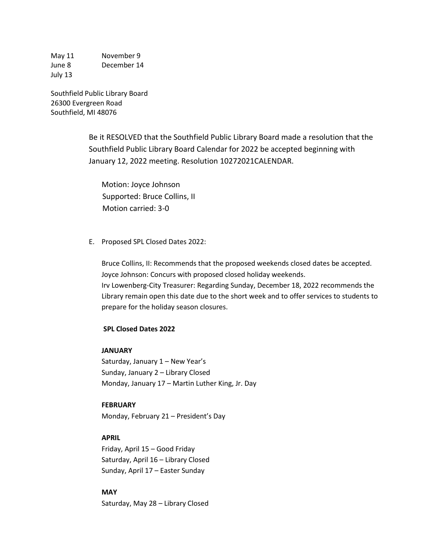May 11 November 9 June 8 December 14 July 13

Southfield Public Library Board 26300 Evergreen Road Southfield, MI 48076

> Be it RESOLVED that the Southfield Public Library Board made a resolution that the Southfield Public Library Board Calendar for 2022 be accepted beginning with January 12, 2022 meeting. Resolution 10272021CALENDAR.

Motion: Joyce Johnson Supported: Bruce Collins, II Motion carried: 3-0

E. Proposed SPL Closed Dates 2022:

Bruce Collins, II: Recommends that the proposed weekends closed dates be accepted. Joyce Johnson: Concurs with proposed closed holiday weekends. Irv Lowenberg-City Treasurer: Regarding Sunday, December 18, 2022 recommends the Library remain open this date due to the short week and to offer services to students to prepare for the holiday season closures.

#### **SPL Closed Dates 2022**

#### **JANUARY**

Saturday, January 1 – New Year's Sunday, January 2 – Library Closed Monday, January 17 – Martin Luther King, Jr. Day

### **FEBRUARY**

Monday, February 21 – President's Day

### **APRIL**

Friday, April 15 – Good Friday Saturday, April 16 – Library Closed Sunday, April 17 – Easter Sunday

**MAY** Saturday, May 28 – Library Closed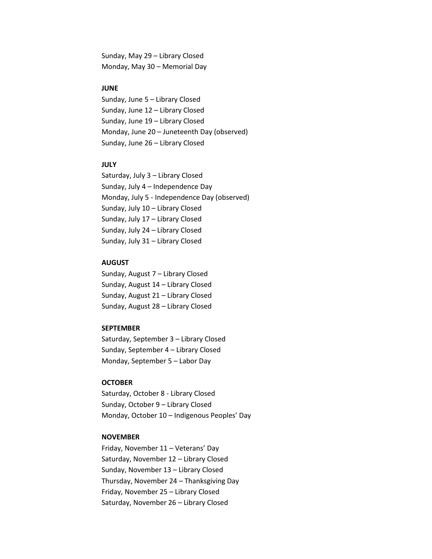Sunday, May 29 – Library Closed Monday, May 30 – Memorial Day

#### **JUNE**

Sunday, June 5 – Library Closed Sunday, June 12 – Library Closed Sunday, June 19 – Library Closed Monday, June 20 – Juneteenth Day (observed) Sunday, June 26 – Library Closed

#### **JULY**

Saturday, July 3 – Library Closed Sunday, July 4 – Independence Day Monday, July 5 - Independence Day (observed) Sunday, July 10 – Library Closed Sunday, July 17 – Library Closed Sunday, July 24 – Library Closed Sunday, July 31 – Library Closed

#### **AUGUST**

Sunday, August 7 – Library Closed Sunday, August 14 – Library Closed Sunday, August 21 – Library Closed Sunday, August 28 – Library Closed

#### **SEPTEMBER**

Saturday, September 3 – Library Closed Sunday, September 4 – Library Closed Monday, September 5 – Labor Day

#### **OCTOBER**

Saturday, October 8 - Library Closed Sunday, October 9 – Library Closed Monday, October 10 – Indigenous Peoples' Day

#### **NOVEMBER**

Friday, November 11 – Veterans' Day Saturday, November 12 – Library Closed Sunday, November 13 – Library Closed Thursday, November 24 – Thanksgiving Day Friday, November 25 – Library Closed Saturday, November 26 – Library Closed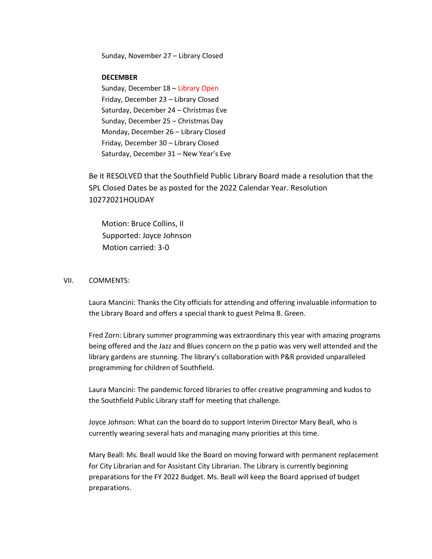Sunday, November 27 – Library Closed

### **DECEMBER**

Sunday, December 18 – Library Open Friday, December 23 – Library Closed Saturday, December 24 – Christmas Eve Sunday, December 25 – Christmas Day Monday, December 26 – Library Closed Friday, December 30 – Library Closed Saturday, December 31 – New Year's Eve

Be it RESOLVED that the Southfield Public Library Board made a resolution that the SPL Closed Dates be as posted for the 2022 Calendar Year. Resolution 10272021HOLIDAY

Motion: Bruce Collins, II Supported: Joyce Johnson Motion carried: 3-0

#### VII. COMMENTS:

Laura Mancini: Thanks the City officials for attending and offering invaluable information to the Library Board and offers a special thank to guest Pelma B. Green.

Fred Zorn: Library summer programming was extraordinary this year with amazing programs being offered and the Jazz and Blues concern on the p patio was very well attended and the library gardens are stunning. The library's collaboration with P&R provided unparalleled programming for children of Southfield.

Laura Mancini: The pandemic forced libraries to offer creative programming and kudos to the Southfield Public Library staff for meeting that challenge.

Joyce Johnson: What can the board do to support Interim Director Mary Beall, who is currently wearing several hats and managing many priorities at this time.

Mary Beall: Ms. Beall would like the Board on moving forward with permanent replacement for City Librarian and for Assistant City Librarian. The Library is currently beginning preparations for the FY 2022 Budget. Ms. Beall will keep the Board apprised of budget preparations.